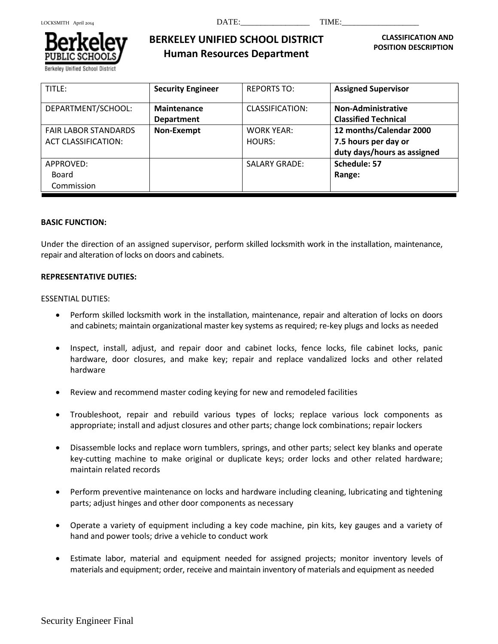

Berkeley Unified School District

# **BERKELEY UNIFIED SCHOOL DISTRICT Human Resources Department**

 **CLASSIFICATION AND POSITION DESCRIPTION**

| TITLE:                                                    | <b>Security Engineer</b>         | <b>REPORTS TO:</b>          | <b>Assigned Supervisor</b>                                                     |
|-----------------------------------------------------------|----------------------------------|-----------------------------|--------------------------------------------------------------------------------|
| DEPARTMENT/SCHOOL:                                        | Maintenance<br><b>Department</b> | CLASSIFICATION:             | <b>Non-Administrative</b><br><b>Classified Technical</b>                       |
| <b>FAIR LABOR STANDARDS</b><br><b>ACT CLASSIFICATION:</b> | Non-Exempt                       | <b>WORK YEAR:</b><br>HOURS: | 12 months/Calendar 2000<br>7.5 hours per day or<br>duty days/hours as assigned |
| APPROVED:<br>Board<br>Commission                          |                                  | <b>SALARY GRADE:</b>        | Schedule: 57<br>Range:                                                         |

### **BASIC FUNCTION:**

Under the direction of an assigned supervisor, perform skilled locksmith work in the installation, maintenance, repair and alteration of locks on doors and cabinets.

#### **REPRESENTATIVE DUTIES:**

#### ESSENTIAL DUTIES:

- Perform skilled locksmith work in the installation, maintenance, repair and alteration of locks on doors and cabinets; maintain organizational master key systems as required; re-key plugs and locks as needed
- Inspect, install, adjust, and repair door and cabinet locks, fence locks, file cabinet locks, panic hardware, door closures, and make key; repair and replace vandalized locks and other related hardware
- Review and recommend master coding keying for new and remodeled facilities
- Troubleshoot, repair and rebuild various types of locks; replace various lock components as appropriate; install and adjust closures and other parts; change lock combinations; repair lockers
- Disassemble locks and replace worn tumblers, springs, and other parts; select key blanks and operate key-cutting machine to make original or duplicate keys; order locks and other related hardware; maintain related records
- Perform preventive maintenance on locks and hardware including cleaning, lubricating and tightening parts; adjust hinges and other door components as necessary
- Operate a variety of equipment including a key code machine, pin kits, key gauges and a variety of hand and power tools; drive a vehicle to conduct work
- Estimate labor, material and equipment needed for assigned projects; monitor inventory levels of materials and equipment; order, receive and maintain inventory of materials and equipment as needed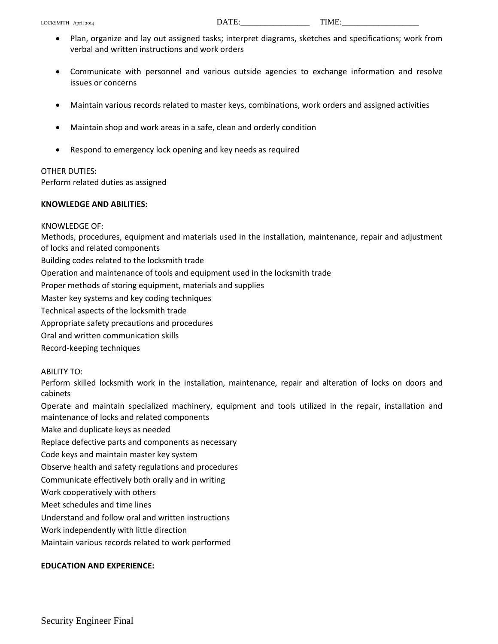- Plan, organize and lay out assigned tasks; interpret diagrams, sketches and specifications; work from verbal and written instructions and work orders
- Communicate with personnel and various outside agencies to exchange information and resolve issues or concerns
- Maintain various records related to master keys, combinations, work orders and assigned activities
- Maintain shop and work areas in a safe, clean and orderly condition
- Respond to emergency lock opening and key needs as required

# OTHER DUTIES:

Perform related duties as assigned

#### **KNOWLEDGE AND ABILITIES:**

#### KNOWLEDGE OF:

Methods, procedures, equipment and materials used in the installation, maintenance, repair and adjustment of locks and related components

Building codes related to the locksmith trade

Operation and maintenance of tools and equipment used in the locksmith trade

Proper methods of storing equipment, materials and supplies

Master key systems and key coding techniques

Technical aspects of the locksmith trade

Appropriate safety precautions and procedures

Oral and written communication skills

Record-keeping techniques

# ABILITY TO:

Perform skilled locksmith work in the installation, maintenance, repair and alteration of locks on doors and cabinets

Operate and maintain specialized machinery, equipment and tools utilized in the repair, installation and maintenance of locks and related components

Make and duplicate keys as needed

Replace defective parts and components as necessary

Code keys and maintain master key system

Observe health and safety regulations and procedures

Communicate effectively both orally and in writing

Work cooperatively with others

Meet schedules and time lines

Understand and follow oral and written instructions

Work independently with little direction

Maintain various records related to work performed

# **EDUCATION AND EXPERIENCE:**